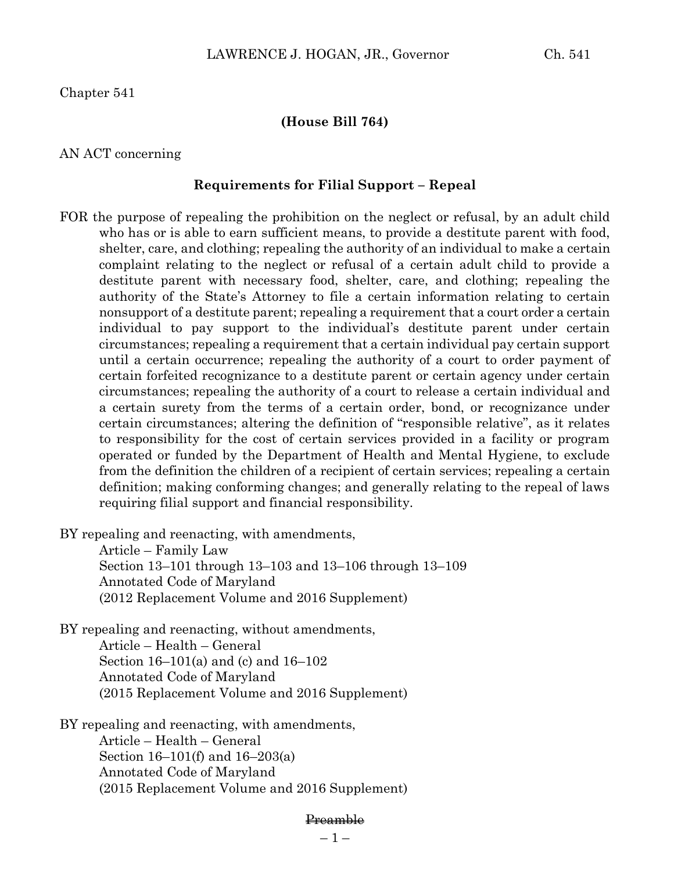Chapter 541

### **(House Bill 764)**

### AN ACT concerning

#### **Requirements for Filial Support – Repeal**

FOR the purpose of repealing the prohibition on the neglect or refusal, by an adult child who has or is able to earn sufficient means, to provide a destitute parent with food, shelter, care, and clothing; repealing the authority of an individual to make a certain complaint relating to the neglect or refusal of a certain adult child to provide a destitute parent with necessary food, shelter, care, and clothing; repealing the authority of the State's Attorney to file a certain information relating to certain nonsupport of a destitute parent; repealing a requirement that a court order a certain individual to pay support to the individual's destitute parent under certain circumstances; repealing a requirement that a certain individual pay certain support until a certain occurrence; repealing the authority of a court to order payment of certain forfeited recognizance to a destitute parent or certain agency under certain circumstances; repealing the authority of a court to release a certain individual and a certain surety from the terms of a certain order, bond, or recognizance under certain circumstances; altering the definition of "responsible relative", as it relates to responsibility for the cost of certain services provided in a facility or program operated or funded by the Department of Health and Mental Hygiene, to exclude from the definition the children of a recipient of certain services; repealing a certain definition; making conforming changes; and generally relating to the repeal of laws requiring filial support and financial responsibility.

BY repealing and reenacting, with amendments,

Article – Family Law Section 13–101 through 13–103 and 13–106 through 13–109 Annotated Code of Maryland (2012 Replacement Volume and 2016 Supplement)

BY repealing and reenacting, without amendments, Article – Health – General Section 16–101(a) and (c) and 16–102 Annotated Code of Maryland (2015 Replacement Volume and 2016 Supplement)

BY repealing and reenacting, with amendments, Article – Health – General Section 16–101(f) and 16–203(a) Annotated Code of Maryland (2015 Replacement Volume and 2016 Supplement)

#### Preamble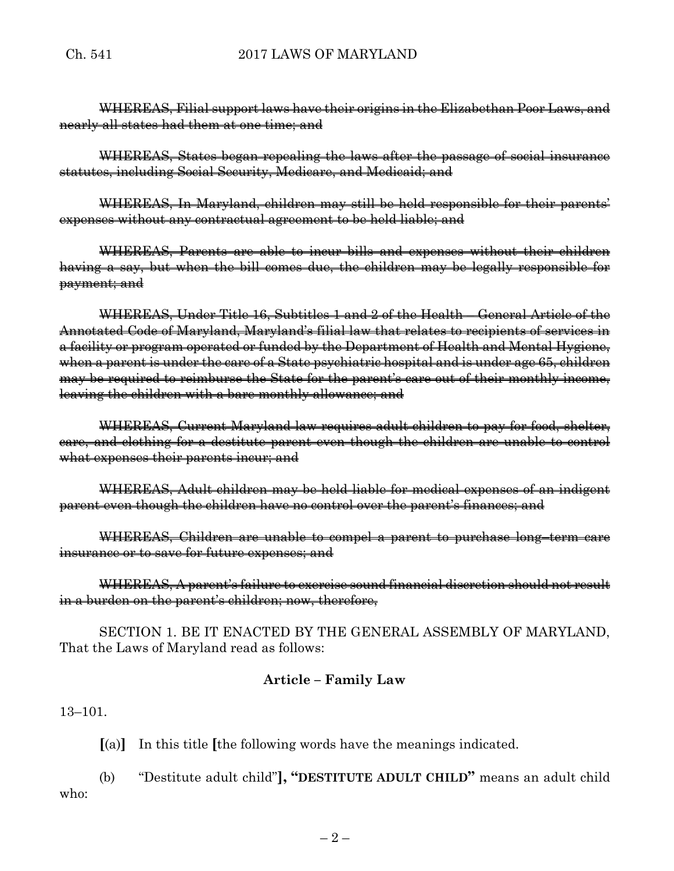WHEREAS, Filial support laws have their origins in the Elizabethan Poor Laws, and nearly all states had them at one time; and

WHEREAS, States began repealing the laws after the passage of social insurance statutes, including Social Security, Medicare, and Medicaid; and

WHEREAS, In Maryland, children may still be held responsible for their parents' expenses without any contractual agreement to be held liable; and

WHEREAS, Parents are able to incur bills and expenses without their children having a say, but when the bill comes due, the children may be legally responsible for payment; and

WHEREAS, Under Title 16, Subtitles 1 and 2 of the Health – General Article of the Annotated Code of Maryland, Maryland's filial law that relates to recipients of services in a facility or program operated or funded by the Department of Health and Mental Hygiene, when a parent is under the care of a State psychiatric hospital and is under age 65, children may be required to reimburse the State for the parent's care out of their monthly income, leaving the children with a bare monthly allowance; and

WHEREAS, Current Maryland law requires adult children to pay for food, shelter, care, and clothing for a destitute parent even though the children are unable to control what expenses their parents incur; and

WHEREAS, Adult children may be held liable for medical expenses of an indigent parent even though the children have no control over the parent's finances; and

WHEREAS, Children are unable to compel a parent to purchase long–term care insurance or to save for future expenses; and

WHEREAS, A parent's failure to exercise sound financial discretion should not result in a burden on the parent's children; now, therefore,

SECTION 1. BE IT ENACTED BY THE GENERAL ASSEMBLY OF MARYLAND, That the Laws of Maryland read as follows:

# **Article – Family Law**

13–101.

**[**(a)**]** In this title **[**the following words have the meanings indicated.

(b) "Destitute adult child"**], "DESTITUTE ADULT CHILD"** means an adult child who: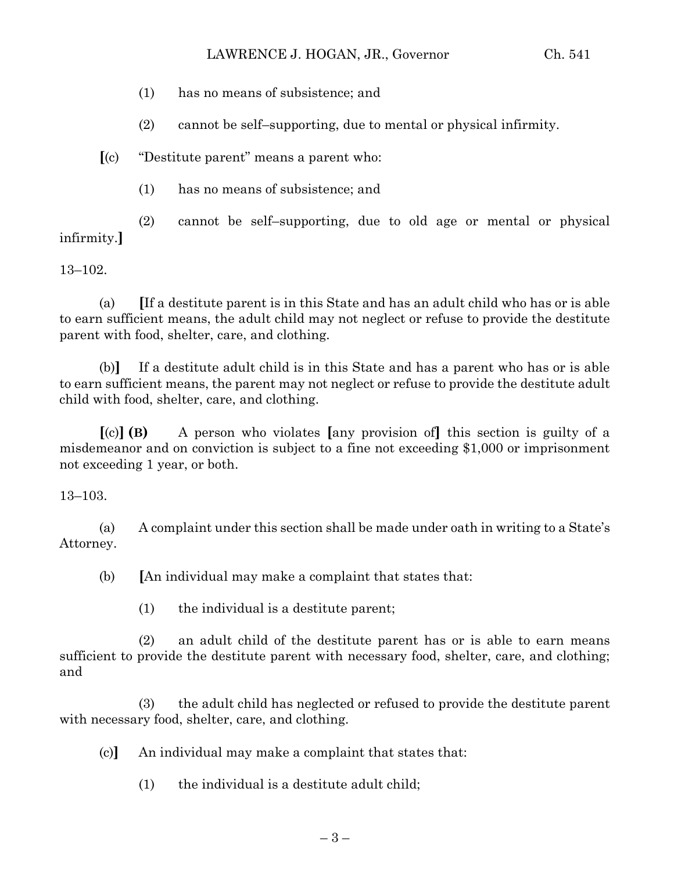- (1) has no means of subsistence; and
- (2) cannot be self–supporting, due to mental or physical infirmity.

**[**(c) "Destitute parent" means a parent who:

(1) has no means of subsistence; and

(2) cannot be self–supporting, due to old age or mental or physical infirmity.**]**

13–102.

(a) **[**If a destitute parent is in this State and has an adult child who has or is able to earn sufficient means, the adult child may not neglect or refuse to provide the destitute parent with food, shelter, care, and clothing.

(b)**]** If a destitute adult child is in this State and has a parent who has or is able to earn sufficient means, the parent may not neglect or refuse to provide the destitute adult child with food, shelter, care, and clothing.

**[**(c)**] (B)** A person who violates **[**any provision of**]** this section is guilty of a misdemeanor and on conviction is subject to a fine not exceeding \$1,000 or imprisonment not exceeding 1 year, or both.

13–103.

(a) A complaint under this section shall be made under oath in writing to a State's Attorney.

(b) **[**An individual may make a complaint that states that:

(1) the individual is a destitute parent;

(2) an adult child of the destitute parent has or is able to earn means sufficient to provide the destitute parent with necessary food, shelter, care, and clothing; and

(3) the adult child has neglected or refused to provide the destitute parent with necessary food, shelter, care, and clothing.

(c)**]** An individual may make a complaint that states that:

(1) the individual is a destitute adult child;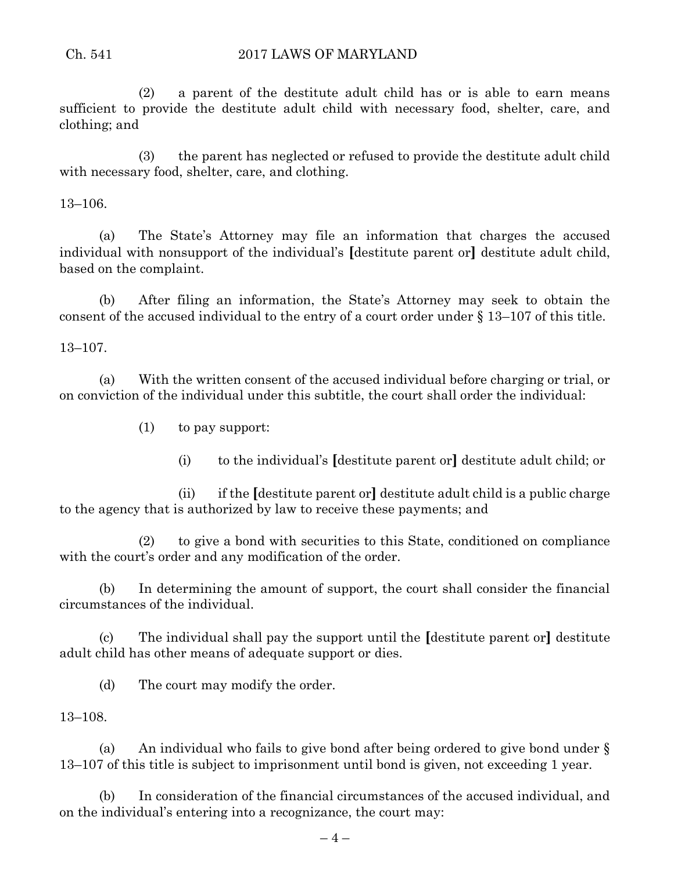(2) a parent of the destitute adult child has or is able to earn means sufficient to provide the destitute adult child with necessary food, shelter, care, and clothing; and

(3) the parent has neglected or refused to provide the destitute adult child with necessary food, shelter, care, and clothing.

13–106.

(a) The State's Attorney may file an information that charges the accused individual with nonsupport of the individual's **[**destitute parent or**]** destitute adult child, based on the complaint.

(b) After filing an information, the State's Attorney may seek to obtain the consent of the accused individual to the entry of a court order under § 13–107 of this title.

13–107.

(a) With the written consent of the accused individual before charging or trial, or on conviction of the individual under this subtitle, the court shall order the individual:

(1) to pay support:

(i) to the individual's **[**destitute parent or**]** destitute adult child; or

(ii) if the **[**destitute parent or**]** destitute adult child is a public charge to the agency that is authorized by law to receive these payments; and

(2) to give a bond with securities to this State, conditioned on compliance with the court's order and any modification of the order.

(b) In determining the amount of support, the court shall consider the financial circumstances of the individual.

(c) The individual shall pay the support until the **[**destitute parent or**]** destitute adult child has other means of adequate support or dies.

(d) The court may modify the order.

13–108.

(a) An individual who fails to give bond after being ordered to give bond under § 13–107 of this title is subject to imprisonment until bond is given, not exceeding 1 year.

(b) In consideration of the financial circumstances of the accused individual, and on the individual's entering into a recognizance, the court may: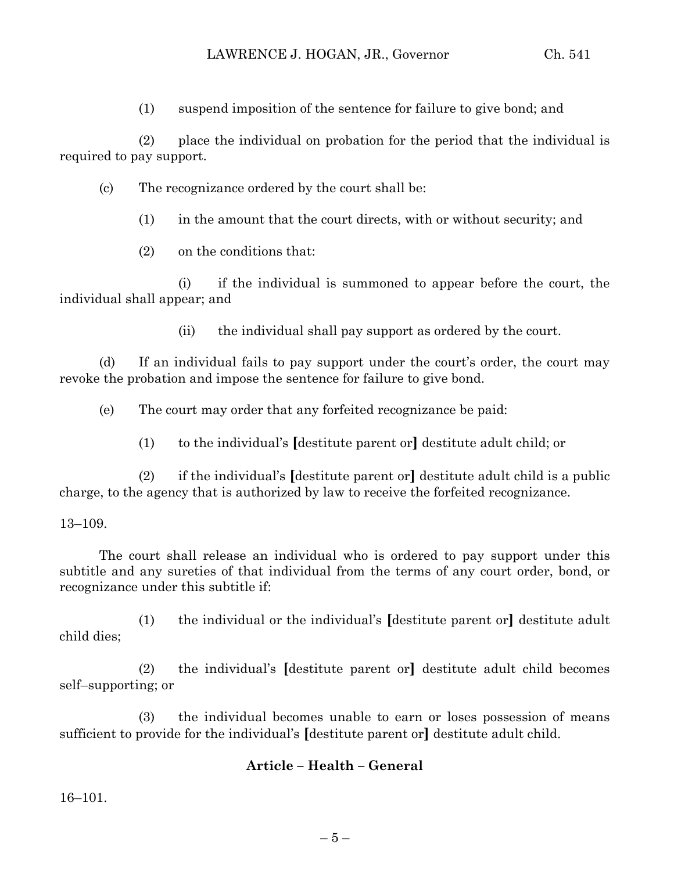(1) suspend imposition of the sentence for failure to give bond; and

(2) place the individual on probation for the period that the individual is required to pay support.

- (c) The recognizance ordered by the court shall be:
	- (1) in the amount that the court directs, with or without security; and
	- (2) on the conditions that:

(i) if the individual is summoned to appear before the court, the individual shall appear; and

(ii) the individual shall pay support as ordered by the court.

(d) If an individual fails to pay support under the court's order, the court may revoke the probation and impose the sentence for failure to give bond.

(e) The court may order that any forfeited recognizance be paid:

(1) to the individual's **[**destitute parent or**]** destitute adult child; or

(2) if the individual's **[**destitute parent or**]** destitute adult child is a public charge, to the agency that is authorized by law to receive the forfeited recognizance.

# 13–109.

The court shall release an individual who is ordered to pay support under this subtitle and any sureties of that individual from the terms of any court order, bond, or recognizance under this subtitle if:

(1) the individual or the individual's **[**destitute parent or**]** destitute adult child dies;

(2) the individual's **[**destitute parent or**]** destitute adult child becomes self–supporting; or

(3) the individual becomes unable to earn or loses possession of means sufficient to provide for the individual's **[**destitute parent or**]** destitute adult child.

# **Article – Health – General**

16–101.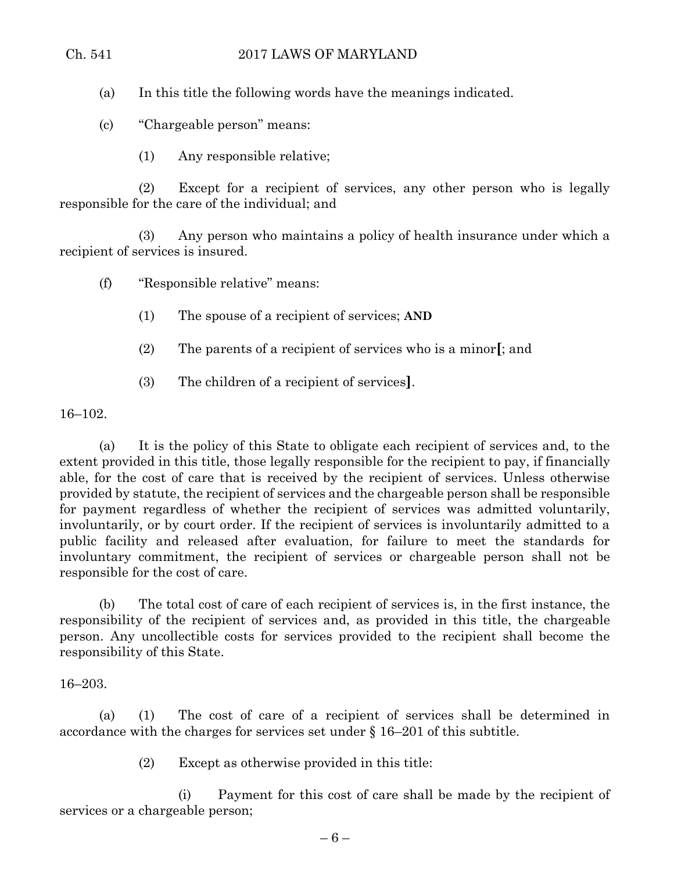(a) In this title the following words have the meanings indicated.

(c) "Chargeable person" means:

(1) Any responsible relative;

(2) Except for a recipient of services, any other person who is legally responsible for the care of the individual; and

(3) Any person who maintains a policy of health insurance under which a recipient of services is insured.

(f) "Responsible relative" means:

- (1) The spouse of a recipient of services; **AND**
- (2) The parents of a recipient of services who is a minor**[**; and
- (3) The children of a recipient of services**]**.

16–102.

(a) It is the policy of this State to obligate each recipient of services and, to the extent provided in this title, those legally responsible for the recipient to pay, if financially able, for the cost of care that is received by the recipient of services. Unless otherwise provided by statute, the recipient of services and the chargeable person shall be responsible for payment regardless of whether the recipient of services was admitted voluntarily, involuntarily, or by court order. If the recipient of services is involuntarily admitted to a public facility and released after evaluation, for failure to meet the standards for involuntary commitment, the recipient of services or chargeable person shall not be responsible for the cost of care.

(b) The total cost of care of each recipient of services is, in the first instance, the responsibility of the recipient of services and, as provided in this title, the chargeable person. Any uncollectible costs for services provided to the recipient shall become the responsibility of this State.

16–203.

(a) (1) The cost of care of a recipient of services shall be determined in accordance with the charges for services set under § 16–201 of this subtitle.

(2) Except as otherwise provided in this title:

(i) Payment for this cost of care shall be made by the recipient of services or a chargeable person;